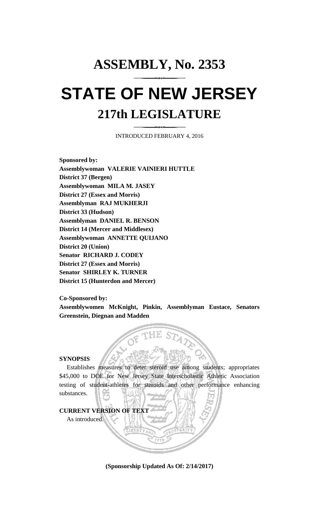# **ASSEMBLY, No. 2353 STATE OF NEW JERSEY 217th LEGISLATURE**

INTRODUCED FEBRUARY 4, 2016

**Sponsored by: Assemblywoman VALERIE VAINIERI HUTTLE District 37 (Bergen) Assemblywoman MILA M. JASEY District 27 (Essex and Morris) Assemblyman RAJ MUKHERJI District 33 (Hudson) Assemblyman DANIEL R. BENSON District 14 (Mercer and Middlesex) Assemblywoman ANNETTE QUIJANO District 20 (Union) Senator RICHARD J. CODEY District 27 (Essex and Morris) Senator SHIRLEY K. TURNER District 15 (Hunterdon and Mercer)**

**Co-Sponsored by:**

**Assemblywomen McKnight, Pinkin, Assemblyman Eustace, Senators Greenstein, Diegnan and Madden**

## **SYNOPSIS**

Establishes measures to deter steroid use among students; appropriates \$45,000 to DOE for New Jersey State Interscholastic Athletic Association testing of student-athletes for steroids and other performance enhancing substances.



**(Sponsorship Updated As Of: 2/14/2017)**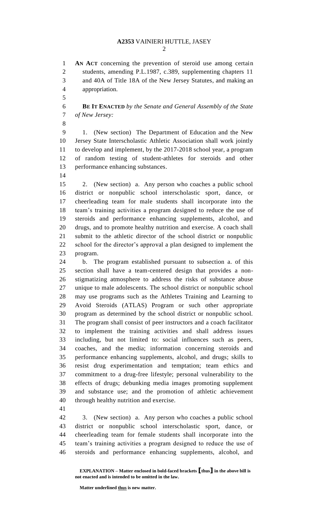#### **A2353** VAINIERI HUTTLE, JASEY

 **AN ACT** concerning the prevention of steroid use among certain students, amending P.L.1987, c.389, supplementing chapters 11 and 40A of Title 18A of the New Jersey Statutes, and making an appropriation.

 **BE IT ENACTED** *by the Senate and General Assembly of the State of New Jersey:*

 1. (New section) The Department of Education and the New Jersey State Interscholastic Athletic Association shall work jointly to develop and implement, by the 2017-2018 school year, a program of random testing of student-athletes for steroids and other performance enhancing substances.

 2. (New section) a. Any person who coaches a public school district or nonpublic school interscholastic sport, dance, or cheerleading team for male students shall incorporate into the team's training activities a program designed to reduce the use of steroids and performance enhancing supplements, alcohol, and drugs, and to promote healthy nutrition and exercise. A coach shall submit to the athletic director of the school district or nonpublic school for the director's approval a plan designed to implement the program.

 b. The program established pursuant to subsection a. of this section shall have a team-centered design that provides a non- stigmatizing atmosphere to address the risks of substance abuse unique to male adolescents. The school district or nonpublic school may use programs such as the Athletes Training and Learning to Avoid Steroids (ATLAS) Program or such other appropriate program as determined by the school district or nonpublic school. The program shall consist of peer instructors and a coach facilitator to implement the training activities and shall address issues including, but not limited to: social influences such as peers, coaches, and the media; information concerning steroids and performance enhancing supplements, alcohol, and drugs; skills to resist drug experimentation and temptation; team ethics and commitment to a drug-free lifestyle; personal vulnerability to the effects of drugs; debunking media images promoting supplement and substance use; and the promotion of athletic achievement through healthy nutrition and exercise.

 3. (New section) a. Any person who coaches a public school district or nonpublic school interscholastic sport, dance, or cheerleading team for female students shall incorporate into the team's training activities a program designed to reduce the use of steroids and performance enhancing supplements, alcohol, and

**Matter underlined thus is new matter.**

**EXPLANATION – Matter enclosed in bold-faced brackets [thus] in the above bill is not enacted and is intended to be omitted in the law.**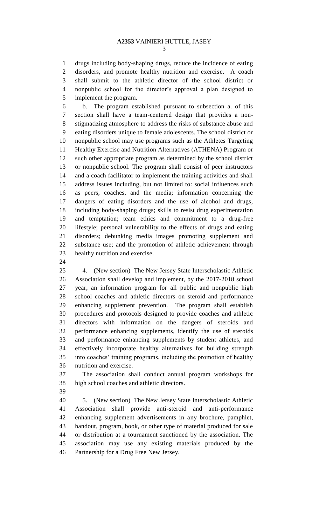drugs including body-shaping drugs, reduce the incidence of eating disorders, and promote healthy nutrition and exercise. A coach shall submit to the athletic director of the school district or nonpublic school for the director's approval a plan designed to implement the program.

 b. The program established pursuant to subsection a. of this section shall have a team-centered design that provides a non- stigmatizing atmosphere to address the risks of substance abuse and eating disorders unique to female adolescents. The school district or nonpublic school may use programs such as the Athletes Targeting Healthy Exercise and Nutrition Alternatives (ATHENA) Program or such other appropriate program as determined by the school district or nonpublic school. The program shall consist of peer instructors and a coach facilitator to implement the training activities and shall address issues including, but not limited to: social influences such as peers, coaches, and the media; information concerning the dangers of eating disorders and the use of alcohol and drugs, including body-shaping drugs; skills to resist drug experimentation and temptation; team ethics and commitment to a drug-free lifestyle; personal vulnerability to the effects of drugs and eating disorders; debunking media images promoting supplement and substance use; and the promotion of athletic achievement through healthy nutrition and exercise.

 4. (New section) The New Jersey State Interscholastic Athletic Association shall develop and implement, by the 2017-2018 school year, an information program for all public and nonpublic high school coaches and athletic directors on steroid and performance enhancing supplement prevention. The program shall establish procedures and protocols designed to provide coaches and athletic directors with information on the dangers of steroids and performance enhancing supplements, identify the use of steroids and performance enhancing supplements by student athletes, and effectively incorporate healthy alternatives for building strength into coaches' training programs, including the promotion of healthy nutrition and exercise.

 The association shall conduct annual program workshops for high school coaches and athletic directors.

 5. (New section) The New Jersey State Interscholastic Athletic Association shall provide anti-steroid and anti-performance enhancing supplement advertisements in any brochure, pamphlet, handout, program, book, or other type of material produced for sale or distribution at a tournament sanctioned by the association. The association may use any existing materials produced by the Partnership for a Drug Free New Jersey.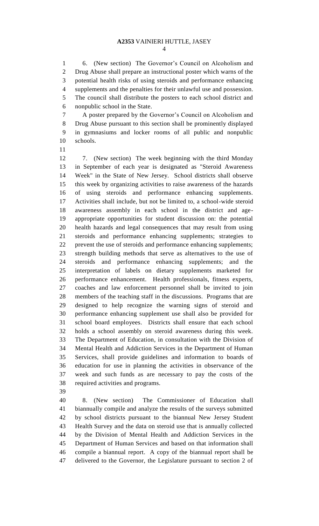6. (New section) The Governor's Council on Alcoholism and Drug Abuse shall prepare an instructional poster which warns of the potential health risks of using steroids and performance enhancing supplements and the penalties for their unlawful use and possession. The council shall distribute the posters to each school district and nonpublic school in the State.

 A poster prepared by the Governor's Council on Alcoholism and Drug Abuse pursuant to this section shall be prominently displayed in gymnasiums and locker rooms of all public and nonpublic schools.

 7. (New section) The week beginning with the third Monday in September of each year is designated as "Steroid Awareness Week" in the State of New Jersey. School districts shall observe this week by organizing activities to raise awareness of the hazards of using steroids and performance enhancing supplements. Activities shall include, but not be limited to, a school-wide steroid awareness assembly in each school in the district and age- appropriate opportunities for student discussion on: the potential health hazards and legal consequences that may result from using steroids and performance enhancing supplements; strategies to prevent the use of steroids and performance enhancing supplements; strength building methods that serve as alternatives to the use of steroids and performance enhancing supplements; and the interpretation of labels on dietary supplements marketed for performance enhancement. Health professionals, fitness experts, coaches and law enforcement personnel shall be invited to join members of the teaching staff in the discussions. Programs that are designed to help recognize the warning signs of steroid and performance enhancing supplement use shall also be provided for school board employees. Districts shall ensure that each school holds a school assembly on steroid awareness during this week. The Department of Education, in consultation with the Division of Mental Health and Addiction Services in the Department of Human Services, shall provide guidelines and information to boards of education for use in planning the activities in observance of the week and such funds as are necessary to pay the costs of the required activities and programs.

 8. (New section) The Commissioner of Education shall biannually compile and analyze the results of the surveys submitted by school districts pursuant to the biannual New Jersey Student Health Survey and the data on steroid use that is annually collected by the Division of Mental Health and Addiction Services in the Department of Human Services and based on that information shall compile a biannual report. A copy of the biannual report shall be delivered to the Governor, the Legislature pursuant to section 2 of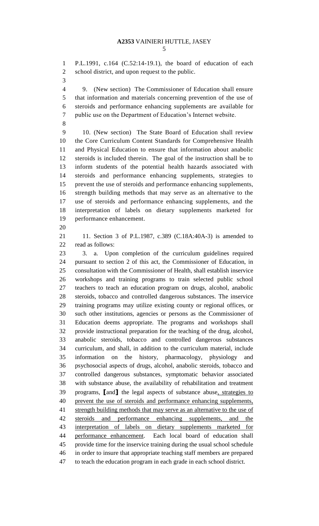P.L.1991, c.164 (C.52:14-19.1), the board of education of each school district, and upon request to the public.

 9. (New section) The Commissioner of Education shall ensure that information and materials concerning prevention of the use of steroids and performance enhancing supplements are available for public use on the Department of Education's Internet website.

 10. (New section) The State Board of Education shall review the Core Curriculum Content Standards for Comprehensive Health and Physical Education to ensure that information about anabolic steroids is included therein. The goal of the instruction shall be to inform students of the potential health hazards associated with steroids and performance enhancing supplements, strategies to prevent the use of steroids and performance enhancing supplements, strength building methods that may serve as an alternative to the use of steroids and performance enhancing supplements, and the interpretation of labels on dietary supplements marketed for performance enhancement.

 11. Section 3 of P.L.1987, c.389 (C.18A:40A-3) is amended to read as follows:

 3. a. Upon completion of the curriculum guidelines required pursuant to section 2 of this act, the Commissioner of Education, in consultation with the Commissioner of Health, shall establish inservice workshops and training programs to train selected public school teachers to teach an education program on drugs, alcohol, anabolic steroids, tobacco and controlled dangerous substances. The inservice training programs may utilize existing county or regional offices, or such other institutions, agencies or persons as the Commissioner of Education deems appropriate. The programs and workshops shall provide instructional preparation for the teaching of the drug, alcohol, anabolic steroids, tobacco and controlled dangerous substances curriculum, and shall, in addition to the curriculum material, include information on the history, pharmacology, physiology and psychosocial aspects of drugs, alcohol, anabolic steroids, tobacco and controlled dangerous substances, symptomatic behavior associated with substance abuse, the availability of rehabilitation and treatment programs, **[**and**]** the legal aspects of substance abuse, strategies to prevent the use of steroids and performance enhancing supplements, 41 strength building methods that may serve as an alternative to the use of steroids and performance enhancing supplements, and the interpretation of labels on dietary supplements marketed for performance enhancement. Each local board of education shall provide time for the inservice training during the usual school schedule in order to insure that appropriate teaching staff members are prepared to teach the education program in each grade in each school district.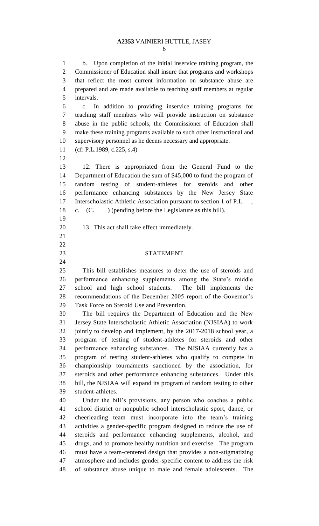### **A2353** VAINIERI HUTTLE, JASEY

 b. Upon completion of the initial inservice training program, the Commissioner of Education shall insure that programs and workshops that reflect the most current information on substance abuse are prepared and are made available to teaching staff members at regular intervals.

 c. In addition to providing inservice training programs for teaching staff members who will provide instruction on substance abuse in the public schools, the Commissioner of Education shall make these training programs available to such other instructional and supervisory personnel as he deems necessary and appropriate.

- (cf: P.L.1989, c.225, s.4)
- 

 12. There is appropriated from the General Fund to the Department of Education the sum of \$45,000 to fund the program of random testing of student-athletes for steroids and other performance enhancing substances by the New Jersey State Interscholastic Athletic Association pursuant to section 1 of P.L. , c. (C. ) (pending before the Legislature as this bill).

- 
- 13. This act shall take effect immediately.
- 
- 
- 

# STATEMENT

 This bill establishes measures to deter the use of steroids and performance enhancing supplements among the State's middle school and high school students. The bill implements the recommendations of the December 2005 report of the Governor's Task Force on Steroid Use and Prevention.

 The bill requires the Department of Education and the New Jersey State Interscholastic Athletic Association (NJSIAA) to work jointly to develop and implement, by the 2017-2018 school year, a program of testing of student-athletes for steroids and other performance enhancing substances. The NJSIAA currently has a program of testing student-athletes who qualify to compete in championship tournaments sanctioned by the association, for steroids and other performance enhancing substances. Under this bill, the NJSIAA will expand its program of random testing to other student-athletes.

 Under the bill's provisions, any person who coaches a public school district or nonpublic school interscholastic sport, dance, or cheerleading team must incorporate into the team's training activities a gender-specific program designed to reduce the use of steroids and performance enhancing supplements, alcohol, and drugs, and to promote healthy nutrition and exercise. The program must have a team-centered design that provides a non-stigmatizing atmosphere and includes gender-specific content to address the risk of substance abuse unique to male and female adolescents. The